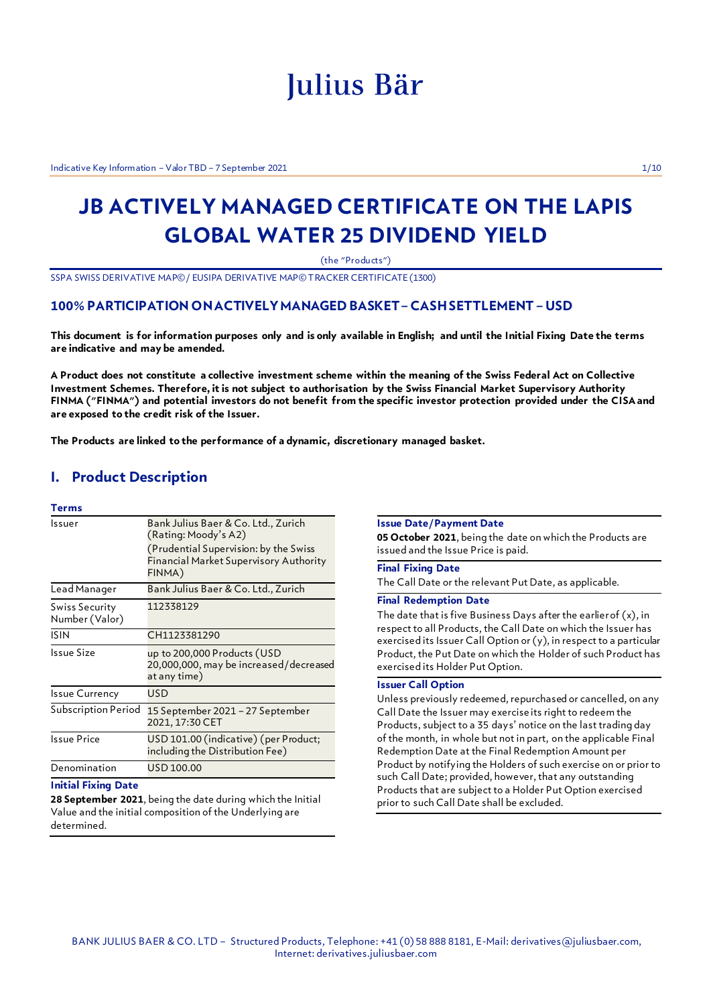# Julius Bär

Indicative Key Information – Valor TBD – 7 September 2021 1/10

## **JB ACTIVELY MANAGED CERTIFICATE ON THE LAPIS GLOBAL WATER 25 DIVIDEND YIELD**

(the "Products")

SSPA SWISS DERIVATIVE MAP©/ EUSIPA DERIVATIVE MAP© TRACKER CERTIFICATE (1300)

### **100% PARTICIPATION ON ACTIVELY MANAGED BASKET – CASH SETTLEMENT – USD**

**This document is for information purposes only and is only available in English; and until the Initial Fixing Date the terms are indicative and may be amended.**

**A Product does not constitute a collective investment scheme within the meaning of the Swiss Federal Act on Collective Investment Schemes. Therefore, it is not subject to authorisation by the Swiss Financial Market Supervisory Authority FINMA ("FINMA") and potential investors do not benefit from the specific investor protection provided under the CISA and are exposed to the credit risk of the Issuer.**

**The Products are linked to the performance of a dynamic, discretionary managed basket.**

### **I. Product Description**

### **Terms**

| Issuer                           | Bank Julius Baer & Co. Ltd., Zurich<br>(Rating: Moody's A2)<br>(Prudential Supervision: by the Swiss<br><b>Financial Market Supervisory Authority</b><br>FINMA) |
|----------------------------------|-----------------------------------------------------------------------------------------------------------------------------------------------------------------|
| Lead Manager                     | Bank Julius Baer & Co. Ltd., Zurich                                                                                                                             |
| Swiss Security<br>Number (Valor) | 112338129                                                                                                                                                       |
| <b>ISIN</b>                      | CH1123381290                                                                                                                                                    |
| Issue Size                       | up to 200,000 Products (USD<br>20,000,000, may be increased/decreased<br>at any time)                                                                           |
| <b>Issue Currency</b>            | USD                                                                                                                                                             |
| Subscription Period              | 15 September 2021 – 27 September<br>2021, 17:30 CET                                                                                                             |
| Issue Price                      | USD 101.00 (indicative) (per Product;<br>including the Distribution Fee)                                                                                        |
| Denomination                     | USD 100.00                                                                                                                                                      |

#### **Initial Fixing Date**

**28 September 2021**, being the date during which the Initial Value and the initial composition of the Underlying are determined.

#### **Issue Date/Payment Date**

**05 October 2021**, being the date on which the Products are issued and the Issue Price is paid.

### **Final Fixing Date**

The Call Date or the relevant Put Date, as applicable.

### **Final Redemption Date**

The date that is five Business Days after the earlier of  $(x)$ , in respect to all Products, the Call Date on which the Issuer has exercised its Issuer Call Option or (y), in respect to a particular Product, the Put Date on which the Holder of such Product has exercised its Holder Put Option.

### **Issuer Call Option**

Unless previously redeemed, repurchased or cancelled, on any Call Date the Issuer may exercise its right to redeem the Products, subject to a 35 days' notice on the last trading day of the month, in whole but not in part, on the applicable Final Redemption Date at the Final Redemption Amount per Product by notifying the Holders of such exercise on or prior to such Call Date; provided, however, that any outstanding Products that are subject to a Holder Put Option exercised prior to such Call Date shall be excluded.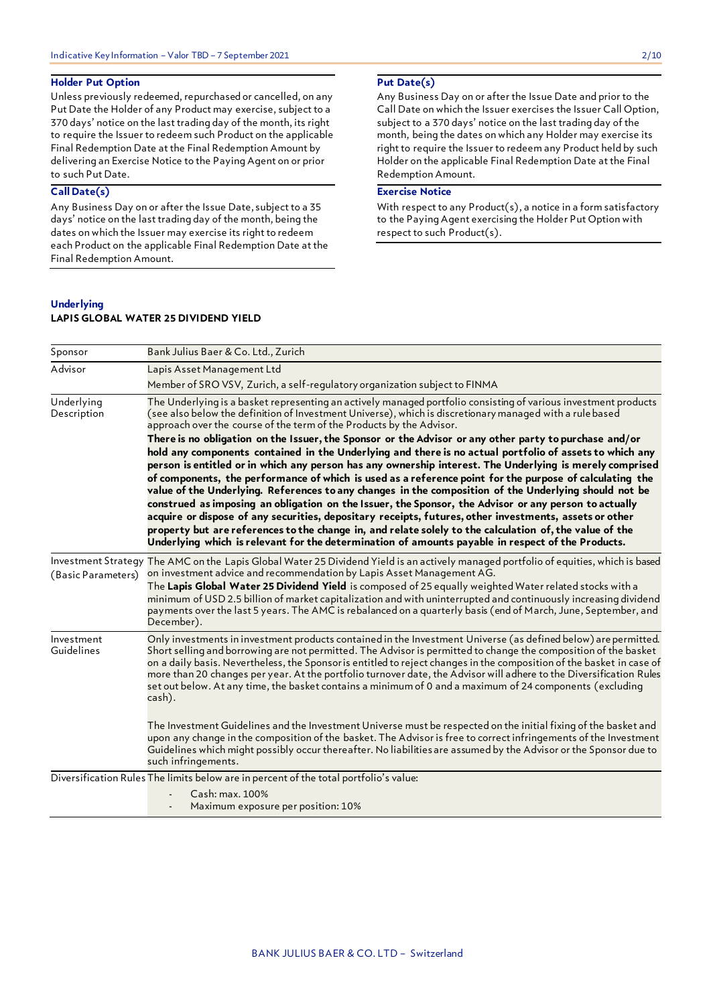### **Holder Put Option**

Unless previously redeemed, repurchased or cancelled, on any Put Date the Holder of any Product may exercise, subject to a 370 days' notice on the last trading day of the month, its right to require the Issuer to redeem such Product on the applicable Final Redemption Date at the Final Redemption Amount by delivering an Exercise Notice to the Paying Agent on or prior to such Put Date.

### **Call Date(s)**

Any Business Day on or after the Issue Date, subject to a 35 days' notice on the last trading day of the month, being the dates on which the Issuer may exercise its right to redeem each Product on the applicable Final Redemption Date at the Final Redemption Amount.

### **Put Date(s)**

Any Business Day on or after the Issue Date and prior to the Call Date on which the Issuer exercises the Issuer Call Option, subject to a 370 days' notice on the last trading day of the month, being the dates on which any Holder may exercise its right to require the Issuer to redeem any Product held by such Holder on the applicable Final Redemption Date at the Final Redemption Amount.

### **Exercise Notice**

With respect to any Product(s), a notice in a form satisfactory to the Paying Agent exercising the Holder Put Option with respect to such Product(s).

#### **Underlying**

### **LAPIS GLOBAL WATER 25 DIVIDEND YIELD**

| Sponsor                   | Bank Julius Baer & Co. Ltd., Zurich                                                                                                                                                                                                                                                                                                                                                                                                                                                                                                                                                                                                                                                                                                                                                                                                                                                                                                                                                                                                                                                                                                                                                                                                                                                         |
|---------------------------|---------------------------------------------------------------------------------------------------------------------------------------------------------------------------------------------------------------------------------------------------------------------------------------------------------------------------------------------------------------------------------------------------------------------------------------------------------------------------------------------------------------------------------------------------------------------------------------------------------------------------------------------------------------------------------------------------------------------------------------------------------------------------------------------------------------------------------------------------------------------------------------------------------------------------------------------------------------------------------------------------------------------------------------------------------------------------------------------------------------------------------------------------------------------------------------------------------------------------------------------------------------------------------------------|
| Advisor                   | Lapis Asset Management Ltd                                                                                                                                                                                                                                                                                                                                                                                                                                                                                                                                                                                                                                                                                                                                                                                                                                                                                                                                                                                                                                                                                                                                                                                                                                                                  |
|                           | Member of SRO VSV, Zurich, a self-requlatory organization subject to FINMA                                                                                                                                                                                                                                                                                                                                                                                                                                                                                                                                                                                                                                                                                                                                                                                                                                                                                                                                                                                                                                                                                                                                                                                                                  |
| Underlying<br>Description | The Underlying is a basket representing an actively managed portfolio consisting of various investment products<br>(see also below the definition of Investment Universe), which is discretionary managed with a rule based<br>approach over the course of the term of the Products by the Advisor.<br>There is no obligation on the Issuer, the Sponsor or the Advisor or any other party to purchase and/or<br>hold any components contained in the Underlying and there is no actual portfolio of assets to which any<br>person is entitled or in which any person has any ownership interest. The Underlying is merely comprised<br>of components, the performance of which is used as a reference point for the purpose of calculating the<br>value of the Underlying. References to any changes in the composition of the Underlying should not be<br>construed as imposing an obligation on the Issuer, the Sponsor, the Advisor or any person to actually<br>acquire or dispose of any securities, depositary receipts, futures, other investments, assets or other<br>property but are references to the change in, and relate solely to the calculation of, the value of the<br>Underlying which is relevant for the determination of amounts payable in respect of the Products. |
| (Basic Parameters)        | Investment Strategy The AMC on the Lapis Global Water 25 Dividend Yield is an actively managed portfolio of equities, which is based<br>on investment advice and recommendation by Lapis Asset Management AG.<br>The Lapis Global Water 25 Dividend Yield is composed of 25 equally weighted Water related stocks with a<br>minimum of USD 2.5 billion of market capitalization and with uninterrupted and continuously increasing dividend<br>payments over the last 5 years. The AMC is rebalanced on a quarterly basis (end of March, June, September, and<br>December).                                                                                                                                                                                                                                                                                                                                                                                                                                                                                                                                                                                                                                                                                                                 |
| Investment<br>Guidelines  | Only investments in investment products contained in the Investment Universe (as defined below) are permitted.<br>Short selling and borrowing are not permitted. The Advisor is permitted to change the composition of the basket<br>on a daily basis. Nevertheless, the Sponsoris entitled to reject changes in the composition of the basket in case of<br>more than 20 changes per year. At the portfolio turnover date, the Advisor will adhere to the Diversification Rules<br>set out below. At any time, the basket contains a minimum of 0 and a maximum of 24 components (excluding<br>cash).<br>The Investment Guidelines and the Investment Universe must be respected on the initial fixing of the basket and<br>upon any change in the composition of the basket. The Advisor is free to correct infringements of the Investment                                                                                                                                                                                                                                                                                                                                                                                                                                               |
|                           | Guidelines which might possibly occur thereafter. No liabilities are assumed by the Advisor or the Sponsor due to<br>such infringements.                                                                                                                                                                                                                                                                                                                                                                                                                                                                                                                                                                                                                                                                                                                                                                                                                                                                                                                                                                                                                                                                                                                                                    |
|                           | Diversification Rules The limits below are in percent of the total portfolio's value:                                                                                                                                                                                                                                                                                                                                                                                                                                                                                                                                                                                                                                                                                                                                                                                                                                                                                                                                                                                                                                                                                                                                                                                                       |
|                           | Cash: max. 100%                                                                                                                                                                                                                                                                                                                                                                                                                                                                                                                                                                                                                                                                                                                                                                                                                                                                                                                                                                                                                                                                                                                                                                                                                                                                             |
|                           | Maximum exposure per position: 10%                                                                                                                                                                                                                                                                                                                                                                                                                                                                                                                                                                                                                                                                                                                                                                                                                                                                                                                                                                                                                                                                                                                                                                                                                                                          |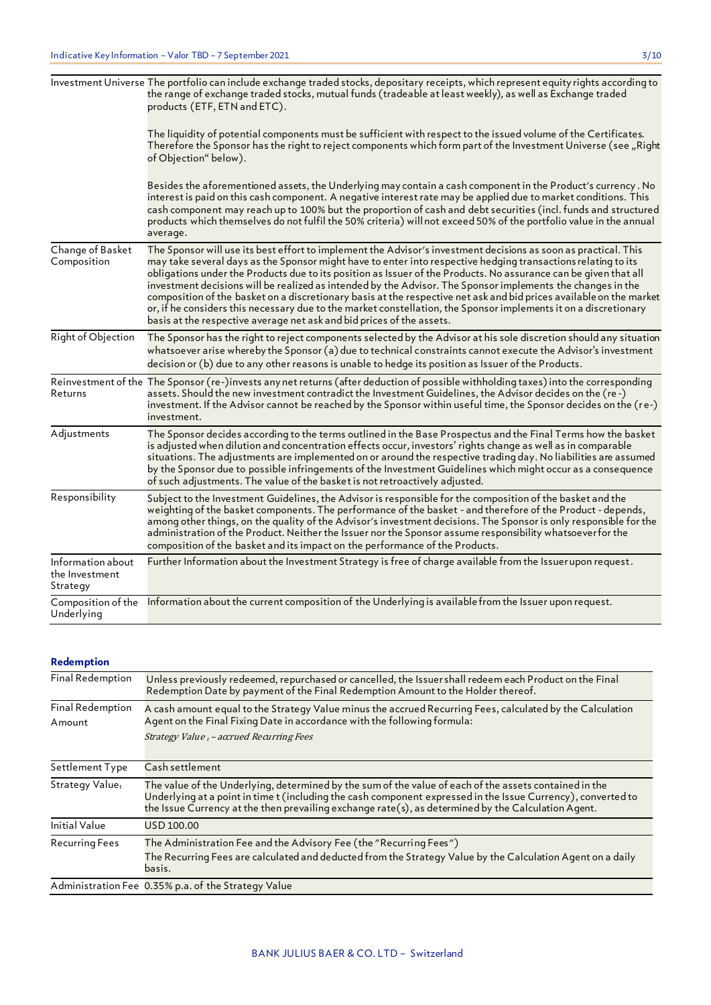|                                                 | Investment Universe The portfolio can include exchange traded stocks, depositary receipts, which represent equity rights according to<br>the range of exchange traded stocks, mutual funds (tradeable at least weekly), as well as Exchange traded<br>products (ETF, ETN and ETC).                                                                                                                                                                                                                                                                                                                                                                                                                                                                                                      |
|-------------------------------------------------|-----------------------------------------------------------------------------------------------------------------------------------------------------------------------------------------------------------------------------------------------------------------------------------------------------------------------------------------------------------------------------------------------------------------------------------------------------------------------------------------------------------------------------------------------------------------------------------------------------------------------------------------------------------------------------------------------------------------------------------------------------------------------------------------|
|                                                 | The liquidity of potential components must be sufficient with respect to the issued volume of the Certificates.<br>Therefore the Sponsor has the right to reject components which form part of the Investment Universe (see "Right<br>of Objection" below).                                                                                                                                                                                                                                                                                                                                                                                                                                                                                                                             |
|                                                 | Besides the aforementioned assets, the Underlying may contain a cash component in the Product's currency . No<br>interest is paid on this cash component. A negative interest rate may be applied due to market conditions. This<br>cash component may reach up to 100% but the proportion of cash and debt securities (incl. funds and structured<br>products which themselves do not fulfil the 50% criteria) will not exceed 50% of the portfolio value in the annual<br>average.                                                                                                                                                                                                                                                                                                    |
| Change of Basket<br>Composition                 | The Sponsor will use its best effort to implement the Advisor's investment decisions as soon as practical. This<br>may take several days as the Sponsor might have to enter into respective hedging transactions relating to its<br>obligations under the Products due to its position as Issuer of the Products. No assurance can be given that all<br>investment decisions will be realized as intended by the Advisor. The Sponsor implements the changes in the<br>composition of the basket on a discretionary basis at the respective net ask and bid prices available on the market<br>or, if he considers this necessary due to the market constellation, the Sponsor implements it on a discretionary<br>basis at the respective average net ask and bid prices of the assets. |
| Right of Objection                              | The Sponsor has the right to reject components selected by the Advisor at his sole discretion should any situation<br>whatsoever arise whereby the Sponsor (a) due to technical constraints cannot execute the Advisor's investment<br>decision or (b) due to any other reasons is unable to hedge its position as Issuer of the Products.                                                                                                                                                                                                                                                                                                                                                                                                                                              |
| Returns                                         | Reinvestment of the The Sponsor (re-)invests any net returns (after deduction of possible withholding taxes) into the corresponding<br>assets. Should the new investment contradict the Investment Guidelines, the Advisor decides on the (re-)<br>investment. If the Advisor cannot be reached by the Sponsor within useful time, the Sponsor decides on the (re-)<br>investment.                                                                                                                                                                                                                                                                                                                                                                                                      |
| Adjustments                                     | The Sponsor decides according to the terms outlined in the Base Prospectus and the Final Terms how the basket<br>is adjusted when dilution and concentration effects occur, investors' rights change as well as in comparable<br>situations. The adjustments are implemented on or around the respective trading day. No liabilities are assumed<br>by the Sponsor due to possible infringements of the Investment Guidelines which might occur as a consequence<br>of such adjustments. The value of the basket is not retroactively adjusted.                                                                                                                                                                                                                                         |
| Responsibility                                  | Subject to the Investment Guidelines, the Advisor is responsible for the composition of the basket and the<br>weighting of the basket components. The performance of the basket - and therefore of the Product - depends,<br>among other things, on the quality of the Advisor's investment decisions. The Sponsor is only responsible for the<br>administration of the Product. Neither the Issuer nor the Sponsor assume responsibility whatsoever for the<br>composition of the basket and its impact on the performance of the Products.                                                                                                                                                                                                                                            |
| Information about<br>the Investment<br>Strategy | Further Information about the Investment Strategy is free of charge available from the Issuer upon request.                                                                                                                                                                                                                                                                                                                                                                                                                                                                                                                                                                                                                                                                             |
| Composition of the<br>Underlying                | Information about the current composition of the Underlying is available from the Issuer upon request.                                                                                                                                                                                                                                                                                                                                                                                                                                                                                                                                                                                                                                                                                  |

### **Redemption**

| Final Redemption            | Unless previously redeemed, repurchased or cancelled, the Issuershall redeem each Product on the Final<br>Redemption Date by payment of the Final Redemption Amount to the Holder thereof.                                                                                                                                    |
|-----------------------------|-------------------------------------------------------------------------------------------------------------------------------------------------------------------------------------------------------------------------------------------------------------------------------------------------------------------------------|
| Final Redemption<br>Amount  | A cash amount equal to the Strategy Value minus the accrued Recurring Fees, calculated by the Calculation<br>Agent on the Final Fixing Date in accordance with the following formula:<br>Strategy Value t - accrued Recurring Fees                                                                                            |
| Settlement Type             | Cash settlement                                                                                                                                                                                                                                                                                                               |
| Strategy Value <sub>t</sub> | The value of the Underlying, determined by the sum of the value of each of the assets contained in the<br>Underlying at a point in time t (including the cash component expressed in the Issue Currency), converted to<br>the Issue Currency at the then prevailing exchange rate(s), as determined by the Calculation Agent. |
| <b>Initial Value</b>        | USD 100.00                                                                                                                                                                                                                                                                                                                    |
| <b>Recurring Fees</b>       | The Administration Fee and the Advisory Fee (the "Recurring Fees")<br>The Recurring Fees are calculated and deducted from the Strategy Value by the Calculation Agent on a daily<br>basis.                                                                                                                                    |
|                             | Administration Fee 0.35% p.a. of the Strategy Value                                                                                                                                                                                                                                                                           |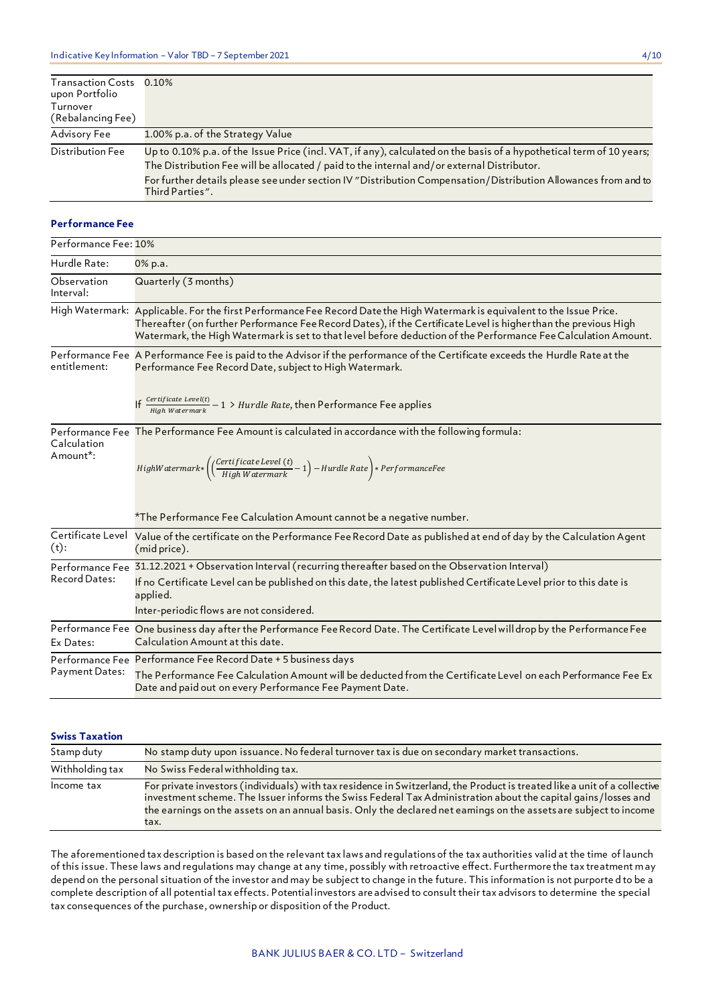| <b>Transaction Costs</b><br>upon Portfolio | 0.10%                                                                                                                                                                                                                                                                                                                                                   |
|--------------------------------------------|---------------------------------------------------------------------------------------------------------------------------------------------------------------------------------------------------------------------------------------------------------------------------------------------------------------------------------------------------------|
| Turnover<br>(Rebalancing Fee)              |                                                                                                                                                                                                                                                                                                                                                         |
| Advisory Fee                               | 1.00% p.a. of the Strategy Value                                                                                                                                                                                                                                                                                                                        |
| Distribution Fee                           | Up to 0.10% p.a. of the Issue Price (incl. VAT, if any), calculated on the basis of a hypothetical term of 10 years;<br>The Distribution Fee will be allocated / paid to the internal and/or external Distributor.<br>For further details please see under section IV "Distribution Compensation/Distribution Allowances from and to<br>Third Parties". |

### **Performance Fee**

| Performance Fee: 10%                 |                                                                                                                                                                                                                                                                                                                                                                 |
|--------------------------------------|-----------------------------------------------------------------------------------------------------------------------------------------------------------------------------------------------------------------------------------------------------------------------------------------------------------------------------------------------------------------|
| Hurdle Rate:                         | 0% p.a.                                                                                                                                                                                                                                                                                                                                                         |
| Observation<br>Interval:             | Quarterly (3 months)                                                                                                                                                                                                                                                                                                                                            |
|                                      | High Watermark: Applicable. For the first Performance Fee Record Date the High Watermark is equivalent to the Issue Price.<br>Thereafter (on further Performance Fee Record Dates), if the Certificate Level is higher than the previous High<br>Watermark, the High Watermark is set to that level before deduction of the Performance Fee Calculation Amount. |
| entitlement:                         | Performance Fee A Performance Fee is paid to the Advisor if the performance of the Certificate exceeds the Hurdle Rate at the<br>Performance Fee Record Date, subject to High Watermark.                                                                                                                                                                        |
|                                      | If $\frac{Certificate \; Level(t)}{High \; Watermark} - 1$ > Hurdle Rate, then Performance Fee applies                                                                                                                                                                                                                                                          |
| Calculation<br>Amount <sup>*</sup> : | Performance Fee The Performance Fee Amount is calculated in accordance with the following formula:<br>$High Water mark * \left ( \left ( \frac {Certificate \: level \: (t)} { High Water mark} - 1 \right ) - Hurdie \: Rate \right ) * Performance Free$                                                                                                      |
|                                      | *The Performance Fee Calculation Amount cannot be a negative number.                                                                                                                                                                                                                                                                                            |
| Certificate Level<br>$(t)$ :         | Value of the certificate on the Performance Fee Record Date as published at end of day by the Calculation Agent<br>(mid price).                                                                                                                                                                                                                                 |
| <b>Record Dates:</b>                 | Performance Fee 31.12.2021 + Observation Interval (recurring thereafter based on the Observation Interval)<br>If no Certificate Level can be published on this date, the latest published Certificate Level prior to this date is<br>applied.<br>Inter-periodic flows are not considered.                                                                       |
| Ex Dates:                            | Performance Fee One business day after the Performance Fee Record Date. The Certificate Level will drop by the Performance Fee<br>Calculation Amount at this date.                                                                                                                                                                                              |
| <b>Payment Dates:</b>                | Performance Fee Performance Fee Record Date + 5 business days<br>The Performance Fee Calculation Amount will be deducted from the Certificate Level on each Performance Fee Ex<br>Date and paid out on every Performance Fee Payment Date.                                                                                                                      |

### **Swiss Taxation**

| Stamp duty      | No stamp duty upon issuance. No federal turnover tax is due on secondary market transactions.                                                                                                                                                                                                                                                                           |
|-----------------|-------------------------------------------------------------------------------------------------------------------------------------------------------------------------------------------------------------------------------------------------------------------------------------------------------------------------------------------------------------------------|
| Withholding tax | No Swiss Federal withholding tax.                                                                                                                                                                                                                                                                                                                                       |
| Income tax      | For private investors (individuals) with tax residence in Switzerland, the Product is treated like a unit of a collective<br>investment scheme. The Issuer informs the Swiss Federal Tax Administration about the capital gains/losses and<br>the earnings on the assets on an annual basis. Only the declared net earnings on the assets are subject to income<br>tax. |

The aforementioned tax description is based on the relevant tax laws and regulations of the tax authorities valid at the time of launch of this issue. These laws and regulations may change at any time, possibly with retroactive effect. Furthermore the tax treatment may depend on the personal situation of the investor and may be subject to change in the future. This information is not purporte d to be a complete description of all potential tax effects. Potential investors are advised to consult their tax advisors to determine the special tax consequences of the purchase, ownership or disposition of the Product.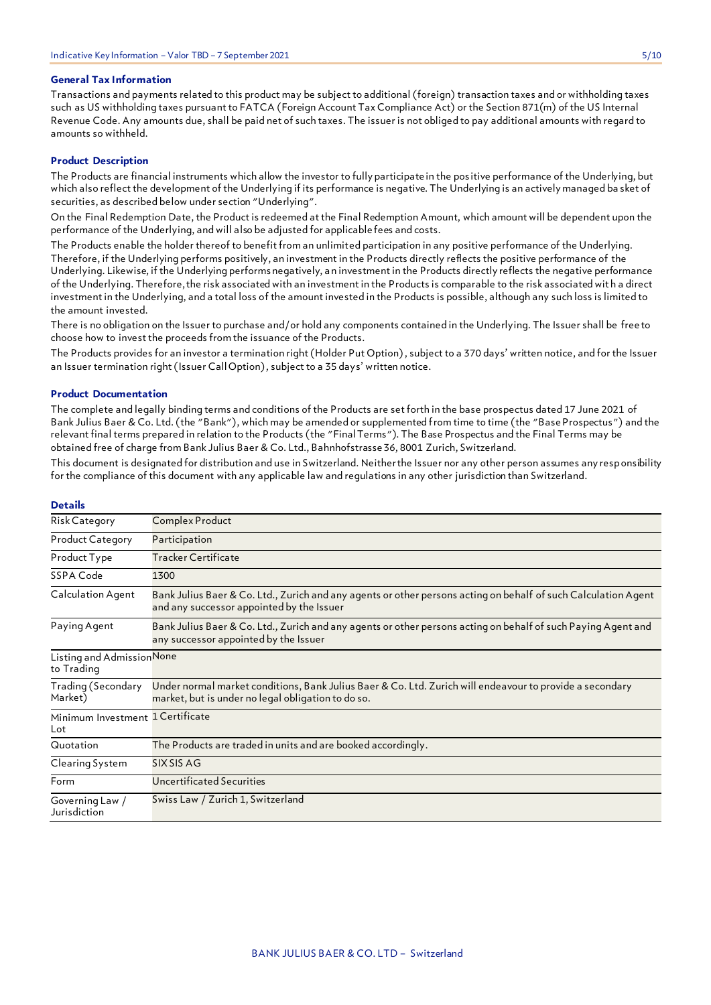### **General Tax Information**

Transactions and payments related to this product may be subject to additional (foreign) transaction taxes and or withholding taxes such as US withholding taxes pursuant to FATCA (Foreign Account Tax Compliance Act) or the Section 871(m) of the US Internal Revenue Code. Any amounts due, shall be paid net of such taxes. The issuer is not obliged to pay additional amounts with regard to amounts so withheld.

### **Product Description**

The Products are financial instruments which allow the investor to fully participate in the pos itive performance of the Underlying, but which also reflect the development of the Underlying if its performance is negative. The Underlying is an actively managed ba sket of securities, as described below under section "Underlying".

On the Final Redemption Date, the Product is redeemed at the Final Redemption Amount, which amount will be dependent upon the performance of the Underlying, and will also be adjusted for applicable fees and costs.

The Products enable the holder thereof to benefit from an unlimited participation in any positive performance of the Underlying. Therefore, if the Underlying performs positively, an investment in the Products directly reflects the positive performance of the Underlying. Likewise, if the Underlying performs negatively, an investment in the Products directly reflects the negative performance of the Underlying. Therefore, the risk associated with an investment in the Products is comparable to the risk associated with a direct investment in the Underlying, and a total loss of the amount invested in the Products is possible, although any such loss is limited to the amount invested.

There is no obligation on the Issuer to purchase and/or hold any components contained in the Underlying. The Issuer shall be free to choose how to invest the proceeds from the issuance of the Products.

The Products provides for an investor a termination right (Holder Put Option) , subject to a 370 days' written notice, and for the Issuer an Issuer termination right (Issuer Call Option) , subject to a 35 days' written notice.

#### **Product Documentation**

The complete and legally binding terms and conditions of the Products are set forth in the base prospectus dated 17 June 2021 of Bank Julius Baer & Co. Ltd. (the "Bank"), which may be amended or supplemented from time to time (the "Base Prospectus") and the relevant final terms prepared in relation to the Products (the "Final Terms"). The Base Prospectus and the Final Terms may be obtained free of charge from Bank Julius Baer & Co. Ltd., Bahnhofstrasse 36, 8001 Zurich, Switzerland.

This document is designated for distribution and use in Switzerland. Neither the Issuer nor any other person assumes any responsibility for the compliance of this document with any applicable law and regulations in any other jurisdiction than Switzerland.

| Complex Product                                                                                                                                                |
|----------------------------------------------------------------------------------------------------------------------------------------------------------------|
| Participation                                                                                                                                                  |
| Tracker Certificate                                                                                                                                            |
| 1300                                                                                                                                                           |
| Bank Julius Baer & Co. Ltd., Zurich and any agents or other persons acting on behalf of such Calculation Agent<br>and any successor appointed by the Issuer    |
| Bank Julius Baer & Co. Ltd., Zurich and any agents or other persons acting on behalf of such Paying Agent and<br>any successor appointed by the Issuer         |
| Listing and Admission None                                                                                                                                     |
| Under normal market conditions, Bank Julius Baer & Co. Ltd. Zurich will endeavour to provide a secondary<br>market, but is under no legal obligation to do so. |
| Minimum Investment 1 Certificate                                                                                                                               |
| The Products are traded in units and are booked accordingly.                                                                                                   |
| SIX SIS AG                                                                                                                                                     |
| Uncertificated Securities                                                                                                                                      |
| Swiss Law / Zurich 1, Switzerland                                                                                                                              |
|                                                                                                                                                                |

### **Details**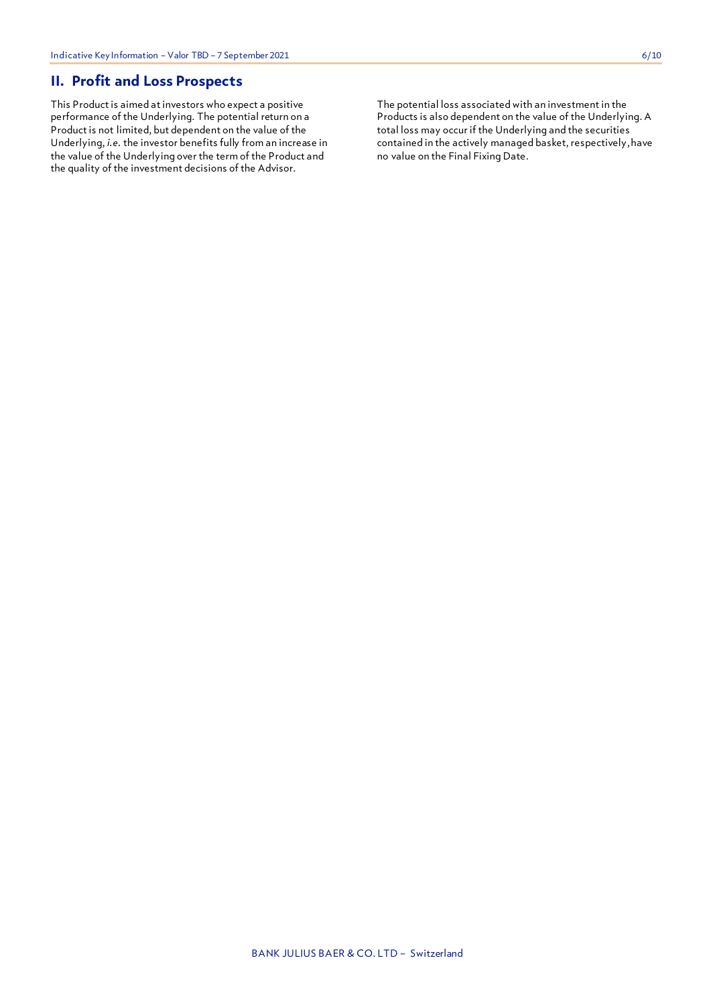### **II. Profit and Loss Prospects**

This Product is aimed at investors who expect a positive performance of the Underlying. The potential return on a Product is not limited, but dependent on the value of the Underlying, *i.e.* the investor benefits fully from an increase in the value of the Underlying over the term of the Product and the quality of the investment decisions of the Advisor.

The potential loss associated with an investment in the Products is also dependent on the value of the Underlying. A total loss may occur if the Underlying and the securities contained in the actively managed basket, respectively, have no value on the Final Fixing Date.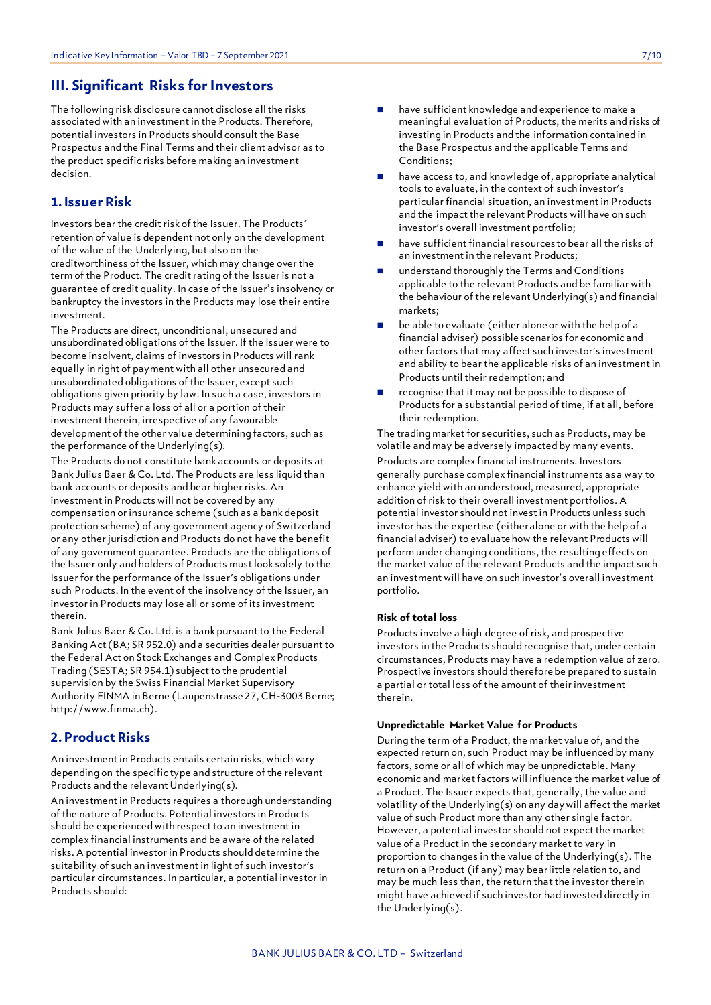### **III. Significant Risks for Investors**

The following risk disclosure cannot disclose all the risks associated with an investment in the Products. Therefore, potential investors in Products should consult the Base Prospectus and the Final Terms and their client advisor as to the product specific risks before making an investment decision.

### **1. Issuer Risk**

Investors bear the credit risk of the Issuer. The Products´ retention of value is dependent not only on the development of the value of the Underlying, but also on the creditworthiness of the Issuer, which may change over the term of the Product. The credit rating of the Issuer is not a guarantee of credit quality. In case of the Issuer's insolvency or bankruptcy the investors in the Products may lose their entire investment.

The Products are direct, unconditional, unsecured and unsubordinated obligations of the Issuer. If the Issuer were to become insolvent, claims of investors in Products will rank equally in right of payment with all other unsecured and unsubordinated obligations of the Issuer, except such obligations given priority by law. In such a case, investors in Products may suffer a loss of all or a portion of their investment therein, irrespective of any favourable development of the other value determining factors, such as the performance of the Underlying(s).

The Products do not constitute bank accounts or deposits at Bank Julius Baer & Co. Ltd. The Products are less liquid than bank accounts or deposits and bear higher risks. An investment in Products will not be covered by any compensation or insurance scheme (such as a bank deposit protection scheme) of any government agency of Switzerland or any other jurisdiction and Products do not have the benefit of any government guarantee. Products are the obligations of the Issuer only and holders of Products must look solely to the Issuer for the performance of the Issuer's obligations under such Products. In the event of the insolvency of the Issuer, an investor in Products may lose all or some of its investment therein.

Bank Julius Baer & Co. Ltd. is a bank pursuant to the Federal Banking Act (BA; SR 952.0) and a securities dealer pursuant to the Federal Act on Stock Exchanges and Complex Products Trading (SESTA; SR 954.1) subject to the prudential supervision by the Swiss Financial Market Supervisory Authority FINMA in Berne (Laupenstrasse 27, CH-3003 Berne; http://www.finma.ch).

### **2. Product Risks**

An investment in Products entails certain risks, which vary depending on the specific type and structure of the relevant Products and the relevant Underlying(s).

An investment in Products requires a thorough understanding of the nature of Products. Potential investors in Products should be experienced with respect to an investment in complex financial instruments and be aware of the related risks. A potential investor in Products should determine the suitability of such an investment in light of such investor's particular circumstances. In particular, a potential investor in Products should:

- have sufficient knowledge and experience to make a meaningful evaluation of Products, the merits and risks of investing in Products and the information contained in the Base Prospectus and the applicable Terms and Conditions;
- have access to, and knowledge of, appropriate analytical tools to evaluate, in the context of such investor's particular financial situation, an investment in Products and the impact the relevant Products will have on such investor's overall investment portfolio;
- have sufficient financial resources to bear all the risks of an investment in the relevant Products;
- understand thoroughly the Terms and Conditions applicable to the relevant Products and be familiar with the behaviour of the relevant Underlying(s) and financial markets;
- be able to evaluate (either alone or with the help of a financial adviser) possible scenarios for economic and other factors that may affect such investor's investment and ability to bear the applicable risks of an investment in Products until their redemption; and
- recognise that it may not be possible to dispose of Products for a substantial period of time, if at all, before their redemption.

The trading market for securities, such as Products, may be volatile and may be adversely impacted by many events. Products are complex financial instruments. Investors generally purchase complex financial instruments as a way to enhance yield with an understood, measured, appropriate addition of risk to their overall investment portfolios. A potential investor should not invest in Products unless such investor has the expertise (either alone or with the help of a financial adviser) to evaluate how the relevant Products will perform under changing conditions, the resulting effects on the market value of the relevant Products and the impact such an investment will have on such investor's overall investment portfolio.

### **Risk of total loss**

Products involve a high degree of risk, and prospective investors in the Products should recognise that, under certain circumstances, Products may have a redemption value of zero. Prospective investors should therefore be prepared to sustain a partial or total loss of the amount of their investment therein.

### **Unpredictable Market Value for Products**

During the term of a Product, the market value of, and the expected return on, such Product may be influenced by many factors, some or all of which may be unpredictable. Many economic and market factors will influence the market value of a Product. The Issuer expects that, generally, the value and volatility of the Underlying(s) on any day will affect the market value of such Product more than any other single factor. However, a potential investor should not expect the market value of a Product in the secondary market to vary in proportion to changes in the value of the Underlying(s). The return on a Product (if any) may bear little relation to, and may be much less than, the return that the investor therein might have achieved if such investor had invested directly in the Underlying(s).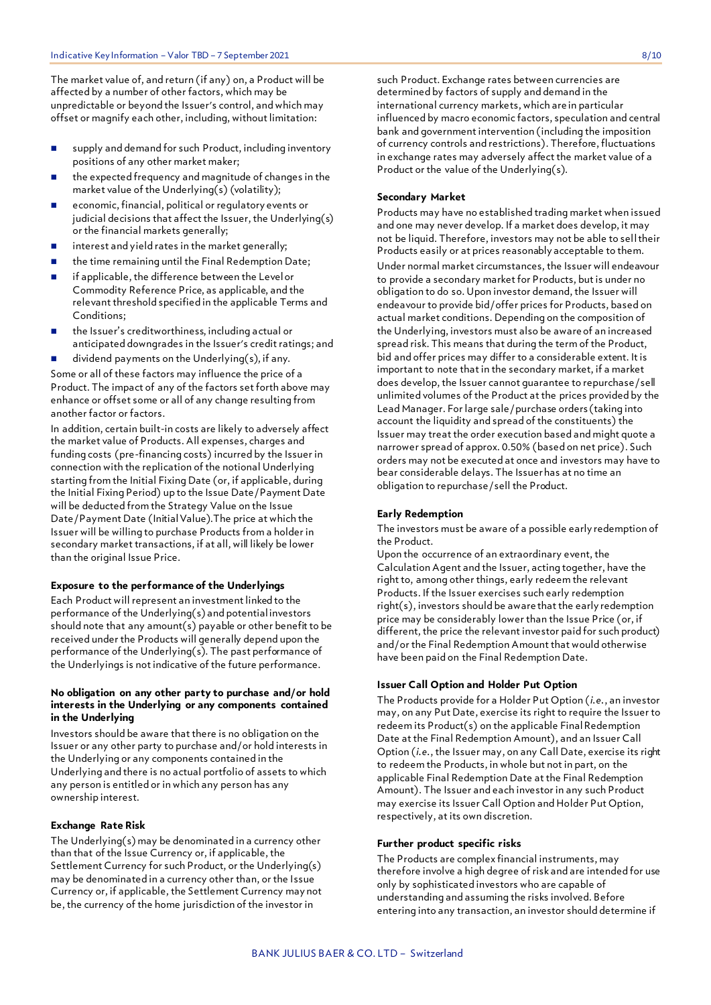The market value of, and return (if any) on, a Product will be affected by a number of other factors, which may be unpredictable or beyond the Issuer's control, and which may offset or magnify each other, including, without limitation:

- supply and demand for such Product, including inventory positions of any other market maker;
- the expected frequency and magnitude of changes in the market value of the Underlying(s) (volatility);
- economic, financial, political or regulatory events or judicial decisions that affect the Issuer, the Underlying(s) or the financial markets generally;
- $\blacksquare$  interest and yield rates in the market generally;
- the time remaining until the Final Redemption Date;
- **EXEC** if applicable, the difference between the Level or Commodity Reference Price, as applicable, and the relevant threshold specified in the applicable Terms and Conditions;
- the Issuer's creditworthiness, including actual or anticipated downgrades in the Issuer's credit ratings; and
- dividend payments on the Underlying(s), if any.

Some or all of these factors may influence the price of a Product. The impact of any of the factors set forth above may enhance or offset some or all of any change resulting from another factor or factors.

In addition, certain built-in costs are likely to adversely affect the market value of Products. All expenses, charges and funding costs (pre-financing costs) incurred by the Issuer in connection with the replication of the notional Underlying starting from the Initial Fixing Date (or, if applicable, during the Initial Fixing Period) up to the Issue Date/Payment Date will be deducted from the Strategy Value on the Issue Date/Payment Date (Initial Value).The price at which the Issuer will be willing to purchase Products from a holder in secondary market transactions, if at all, will likely be lower than the original Issue Price.

### **Exposure to the performance of the Underlyings**

Each Product will represent an investment linked to the performance of the Underlying(s) and potential investors should note that any amount(s) payable or other benefit to be received under the Products will generally depend upon the performance of the Underlying(s). The past performance of the Underlyings is not indicative of the future performance.

### **No obligation on any other party to purchase and/or hold interests in the Underlying or any components contained in the Underlying**

Investors should be aware that there is no obligation on the Issuer or any other party to purchase and/or hold interests in the Underlying or any components contained in the Underlying and there is no actual portfolio of assets to which any person is entitled or in which any person has any ownership interest.

#### **Exchange Rate Risk**

The Underlying(s) may be denominated in a currency other than that of the Issue Currency or, if applicable, the Settlement Currency for such Product, or the Underlying(s) may be denominated in a currency other than, or the Issue Currency or, if applicable, the Settlement Currency may not be, the currency of the home jurisdiction of the investor in

such Product. Exchange rates between currencies are determined by factors of supply and demand in the international currency markets, which are in particular influenced by macro economic factors, speculation and central bank and government intervention (including the imposition of currency controls and restrictions). Therefore, fluctuations in exchange rates may adversely affect the market value of a Product or the value of the Underlying(s).

### **Secondary Market**

Products may have no established trading market when issued and one may never develop. If a market does develop, it may not be liquid. Therefore, investors may not be able to sell their Products easily or at prices reasonably acceptable to them.

Under normal market circumstances, the Issuer will endeavour to provide a secondary market for Products, but is under no obligation to do so. Upon investor demand, the Issuer will endeavour to provide bid/offer prices for Products, based on actual market conditions. Depending on the composition of the Underlying, investors must also be aware of an increased spread risk. This means that during the term of the Product, bid and offer prices may differ to a considerable extent. It is important to note that in the secondary market, if a market does develop, the Issuer cannot guarantee to repurchase/sell unlimited volumes of the Product at the prices provided by the Lead Manager. For large sale/purchase orders (taking into account the liquidity and spread of the constituents) the Issuer may treat the order execution based and might quote a narrower spread of approx. 0.50% (based on net price). Such orders may not be executed at once and investors may have to bear considerable delays. The Issuer has at no time an obligation to repurchase/sell the Product.

### **Early Redemption**

The investors must be aware of a possible early redemption of the Product.

Upon the occurrence of an extraordinary event, the Calculation Agent and the Issuer, acting together, have the right to, among other things, early redeem the relevant Products. If the Issuer exercises such early redemption right(s), investors should be aware that the early redemption price may be considerably lower than the Issue Price (or, if different, the price the relevant investor paid for such product) and/or the Final Redemption Amount that would otherwise have been paid on the Final Redemption Date.

### **Issuer Call Option and Holder Put Option**

The Products provide for a Holder Put Option (*i.e.*, an investor may, on any Put Date, exercise its right to require the Issuer to redeem its Product(s) on the applicable Final Redemption Date at the Final Redemption Amount), and an Issuer Call Option (*i.e.*, the Issuer may, on any Call Date, exercise its right to redeem the Products, in whole but not in part, on the applicable Final Redemption Date at the Final Redemption Amount). The Issuer and each investor in any such Product may exercise its Issuer Call Option and Holder Put Option, respectively, at its own discretion.

### **Further product specific risks**

The Products are complex financial instruments, may therefore involve a high degree of risk and are intended for use only by sophisticated investors who are capable of understanding and assuming the risks involved. Before entering into any transaction, an investor should determine if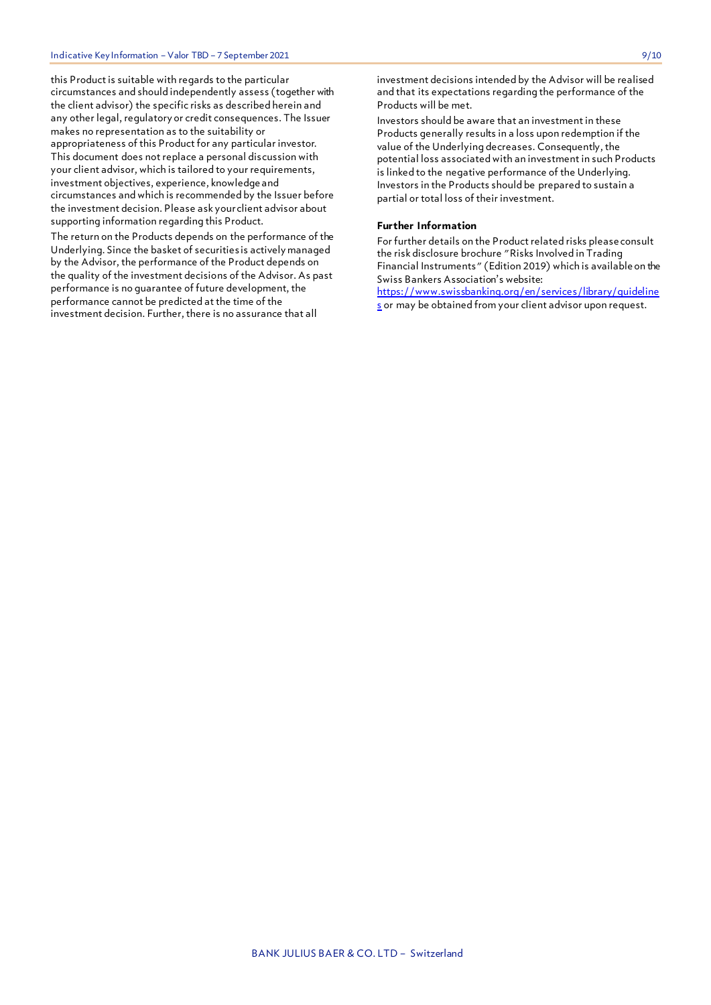this Product is suitable with regards to the particular circumstances and should independently assess (together with the client advisor) the specific risks as described herein and any other legal, regulatory or credit consequences. The Issuer makes no representation as to the suitability or appropriateness of this Product for any particular investor. This document does not replace a personal discussion with your client advisor, which is tailored to your requirements, investment objectives, experience, knowledge and circumstances and which is recommended by the Issuer before the investment decision. Please ask your client advisor about supporting information regarding this Product.

The return on the Products depends on the performance of the Underlying. Since the basket of securities is actively managed by the Advisor, the performance of the Product depends on the quality of the investment decisions of the Advisor. As past performance is no guarantee of future development, the performance cannot be predicted at the time of the investment decision. Further, there is no assurance that all

investment decisions intended by the Advisor will be realised and that its expectations regarding the performance of the Products will be met.

Investors should be aware that an investment in these Products generally results in a loss upon redemption if the value of the Underlying decreases. Consequently, the potential loss associated with an investment in such Products is linked to the negative performance of the Underlying. Investors in the Products should be prepared to sustain a partial or total loss of their investment.

### **Further Information**

For further details on the Product related risks please consult the risk disclosure brochure "Risks Involved in Trading Financial Instruments" (Edition 2019) which is available on the Swiss Bankers Association's website:

[https://www.swissbanking.org/en/services/library/guideline](https://www.swissbanking.org/en/services/library/guidelines) [s](https://www.swissbanking.org/en/services/library/guidelines) or may be obtained from your client advisor upon request.